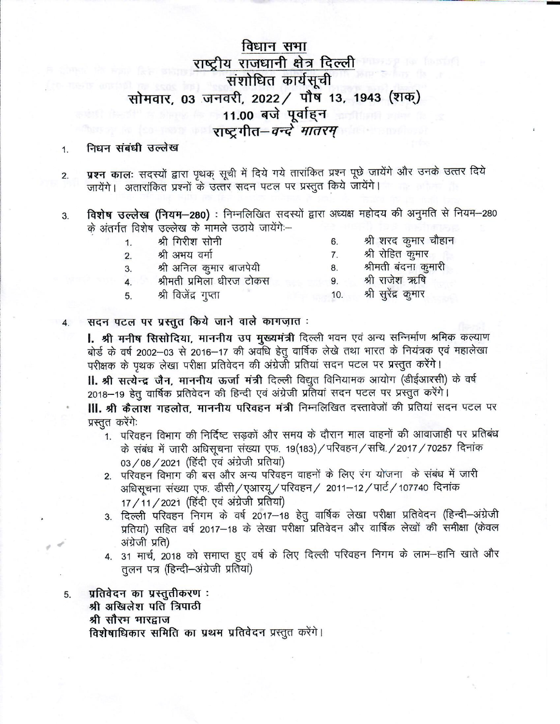# विधान सभा राष्ट्रीय राजधानी क्षेत्र दिल्ली संशोधित कार्यसूची सोमवार, 03 जनवरी, 2022 / पौष 13, 1943 (शक्) 11.00 बजे पूर्वाहन राष्टगीत-वन्दे मातरम्

#### निधन संबंधी उल्लेख 1.

- प्रश्न कालः सदस्यों द्वारा पृथक् सूची में दिये गये तारांकित प्रश्न पूछे जायेंगे और उनके उत्तर दिये 2. जायेंगे। अतारांकित प्रश्नों के उत्तर सदन पटल पर प्रस्तुत किये जायेंगे।
- विशेष उल्लेख (नियम-280) : निम्नलिखित सदस्यों द्वारा अध्यक्ष महोदय की अनुमति से नियम-280 3. के अंतर्गत विशेष उल्लेख के मामले उठाये जायेंगे -
	- श्री गिरीश सोनी  $\mathbf{1}$
	- श्री अभय वर्मा  $\overline{2}$ .
	- श्री अनिल कुमार बाजपेयी 3.
	- श्रीमती प्रमिला धीरज टोकस 4.
	- श्री विजेंद्र गुप्ता 5.
- श्री शरद कुमार चौहान 6.
- श्री रोहित कुमार 7.
- श्रीमती बंदना कुमारी 8.
	- श्री राजेश ऋषि 9.
	- श्री सुरेंद्र कुमार 10.

#### सदन पटल पर प्रस्तुत किये जाने वाले कागज़ात: 4.

l. श्री मनीष सिसोदिया, माननीय उप मुख्यमंत्री दिल्ली भवन एवं अन्य सन्निर्माण श्रमिक कल्याण बोर्ड के वर्ष 2002-03 से 2016-17 की अवधि हेतु वार्षिक लेखे तथा भारत के नियंत्रक एवं महालेखा परीक्षक के पृथक लेखा परीक्षा प्रतिवेदन की अंग्रेजी प्रतियां सदन पटल पर प्रस्तुत करेंगे। II. श्री सत्येन्द्र जैन, माननीय ऊर्जा मंत्री दिल्ली विद्युत विनियामक आयोग (डीईआरसी) के वर्ष 2018-19 हेतू वार्षिक प्रतिवेदन की हिन्दी एवं अंग्रेजी प्रतियां सदन पटल पर प्रस्तुत करेंगे। **III. श्री कैलाश गहलोत, माननीय परिवहन मंत्री** निम्नलिखित दस्तावेजों की प्रतियां सदन पटल पर प्रस्तुत करेंगे:

- 1. परिवहन विभाग की निर्दिष्ट सड़कों और समय के दौरान माल वाहनों की आवाजाही पर प्रतिबंध के संबंध में जारी अधिसूचना संख्या एफ. 19(183) / परिवहन / सचि. / 2017 / 70257 दिनांक 03/08/2021 (हिंदी एवं अंग्रेजी प्रतिया)
- 2. परिवहन विभाग की बस और अन्य परिवहन वाहनों के लिए रंग योजना) के संबंध में जारी अधिसूचना संख्या एफ. डीसी/एआरयू/परिवहन/ 2011–12/पार्ट/107740 दिनांक 17 / 11 / 2021 (हिंदी एवं अंग्रेजी प्रतियां)
- 3. दिल्ली परिवहन निगम के वर्ष 2017-18 हेतु वार्षिक लेखा परीक्षा प्रतिवेदन (हिन्दी-अंग्रेजी प्रतियां) सहित वर्ष 2017-18 के लेखा परीक्षा प्रतिवेदन और वार्षिक लेखों की समीक्षा (केवल अंग्रेजी प्रति)
- 4. 31 मार्च, 2018 को समाप्त हुए वर्ष के लिए दिल्ली परिवहन निगम के लाभ—हानि खाते और तुलन पत्र (हिन्दी-अंग्रेजी प्रतियां)

प्रतिवेदन का प्रस्तुतीकरण: श्री अखिलेश पति त्रिपाठी श्री सौरम मारद्वाज विशेषाधिकार समिति का प्रथम प्रतिवेदन प्रस्तुत करेंगे।

5.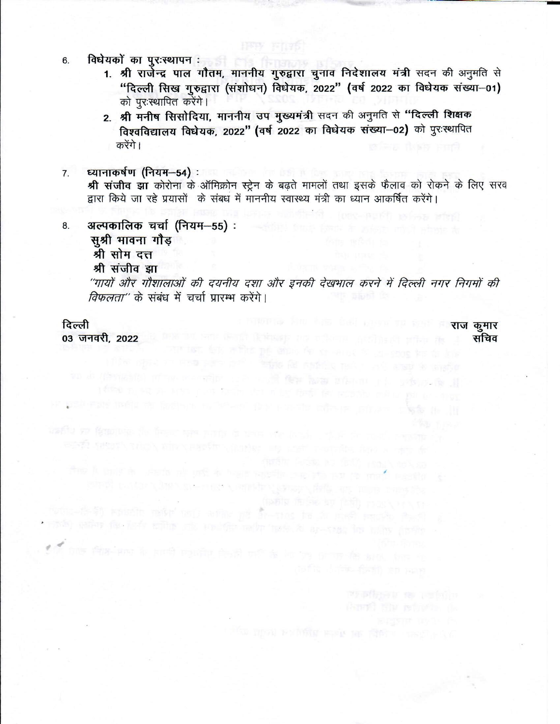- विधेयको का पुरःस्थापन : बाल का का का का का 6.
	- 1. श्री रार्जेन्द्र पाल गौतम, माननीय गुरुद्वारा चुनाव निदेशालय मंत्री सदन की अनुमति से "दिल्ली सिख गुरुद्वारा (संशोधन) विधेयक, 2022" (वर्ष 2022 का विधेयक संख्या-01) को पुरःस्थापित करेंगे।
	- 2. श्री मनीष सिसोदिया, माननीय उप मुख्यमंत्री सदन की अनुमति से "दिल्ली शिक्षक विश्वविद्यालय विधेयक, 2022" (वर्ष 2022 का विधेयक संख्या-02) को पुरःस्थापित करेंगे ।

肝肝 百四

ध्यानाकर्षण (नियम–54) : चित्रा कार्यालय  $\overline{7}$ .

> श्री संजीव झा कोरोना के ऑमिक्रोन स्ट्रेन के बढ़ते मामलों तथा इसके फैलाव को रोकने के लिए सरव द्वारा किये जा रहे प्रयासों के संबध में माननीय स्वास्थ्य मंत्री का ध्यान आकर्षित करेंगे।

- अल्पकालिक चर्चा (नियम-55): 8.
	- सुश्री भावना गौड़
	- श्री सोम दत्त
	- श्री संजीव झा

''गायों और गौशालाओं की दयनीय दशा और इनकी देखभाल करने में दिल्ली नगर निगमों की विफलता" के संबंध में चर्चा प्रारम्भ करेंगे।

ਮਾਤਰ ਜਾਂਦਾ ਕਿਸੀਆਂ ਦੇਸ਼ਾਂ ਅੰਦਿਤਾਂ ਸ਼ਿਲੀਪ ਵਿੱਚ ਮਹੜੇ ਹੋਇਆ ਗਏ ਜਾਂਦੂਰ

with right induction indicate to "the end" faith and the infrare integer of w

the A pair is which all and in hear rapids one the party for and

sing come consequence completely and the same same

functional entity and when the state of the control of the state of the state of ado patien de *lade militar cita van de malte tanto la ar-cada* les milits pindis

asfia se familia de ferro ses pada la tris che deci-

proceeding the countries with an automorphism of the content of the content of the content of the content of the content of the content of the content of the content of the content of the content of the content of the cont

fight 市長 四 出現 rick Priver

#### दिल्ली

03 जनवरी, 2022 के प्राप्त कर किया है जिसके प्राप्त कर के बाद कर किया है जो कि उसके प्राप्त कर कर की प्राप्त क

राज कुमार सचिव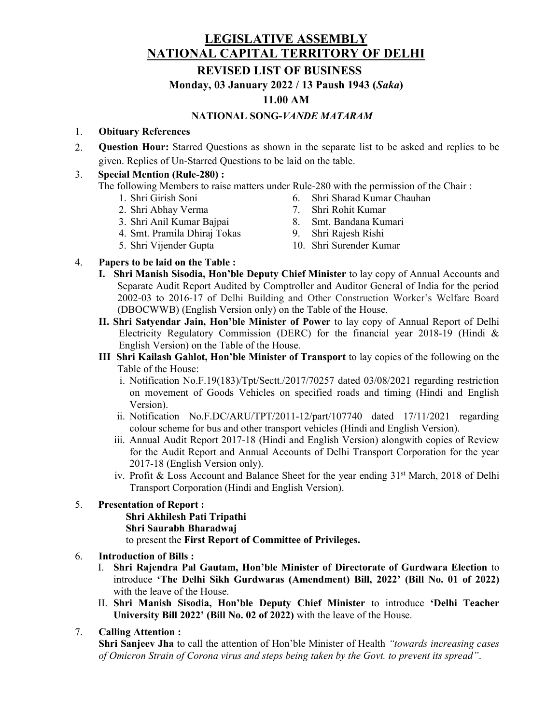## LEGISLATIVE ASSEMBLY NATIONAL CAPITAL TERRITORY OF DELHI

### REVISED LIST OF BUSINESS

Monday, 03 January 2022 / 13 Paush 1943 (Saka)

### 11.00 AM

#### NATIONAL SONG-VANDE MATARAM

#### 1. Obituary References

2. Question Hour: Starred Questions as shown in the separate list to be asked and replies to be given. Replies of Un-Starred Questions to be laid on the table.

#### 3. Special Mention (Rule-280) :

The following Members to raise matters under Rule-280 with the permission of the Chair :

- 1. Shri Girish Soni
- 2. Shri Abhay Verma
- 3. Shri Anil Kumar Bajpai
- 4. Smt. Pramila Dhiraj Tokas
- 5. Shri Vijender Gupta
- 6. Shri Sharad Kumar Chauhan 7. Shri Rohit Kumar
- 8. Smt. Bandana Kumari
- 
- 9. Shri Rajesh Rishi
- 10. Shri Surender Kumar

### 4. Papers to be laid on the Table :

- I. Shri Manish Sisodia, Hon'ble Deputy Chief Minister to lay copy of Annual Accounts and Separate Audit Report Audited by Comptroller and Auditor General of India for the period 2002-03 to 2016-17 of Delhi Building and Other Construction Worker's Welfare Board (DBOCWWB) (English Version only) on the Table of the House.
- II. Shri Satyendar Jain, Hon'ble Minister of Power to lay copy of Annual Report of Delhi Electricity Regulatory Commission (DERC) for the financial year 2018-19 (Hindi & English Version) on the Table of the House.
- III Shri Kailash Gahlot, Hon'ble Minister of Transport to lay copies of the following on the Table of the House:
	- i. Notification No.F.19(183)/Tpt/Sectt./2017/70257 dated 03/08/2021 regarding restriction on movement of Goods Vehicles on specified roads and timing (Hindi and English Version).
	- ii. Notification No.F.DC/ARU/TPT/2011-12/part/107740 dated 17/11/2021 regarding colour scheme for bus and other transport vehicles (Hindi and English Version).
	- iii. Annual Audit Report 2017-18 (Hindi and English Version) alongwith copies of Review for the Audit Report and Annual Accounts of Delhi Transport Corporation for the year 2017-18 (English Version only).
	- iv. Profit & Loss Account and Balance Sheet for the year ending 31st March, 2018 of Delhi Transport Corporation (Hindi and English Version).

#### 5. Presentation of Report :

Shri Akhilesh Pati Tripathi Shri Saurabh Bharadwaj to present the First Report of Committee of Privileges.

#### 6. Introduction of Bills :

- I. Shri Rajendra Pal Gautam, Hon'ble Minister of Directorate of Gurdwara Election to introduce 'The Delhi Sikh Gurdwaras (Amendment) Bill, 2022' (Bill No. 01 of 2022) with the leave of the House.
- II. Shri Manish Sisodia, Hon'ble Deputy Chief Minister to introduce 'Delhi Teacher University Bill 2022' (Bill No. 02 of 2022) with the leave of the House.

#### 7. Calling Attention :

Shri Sanjeev Jha to call the attention of Hon'ble Minister of Health "towards increasing cases" of Omicron Strain of Corona virus and steps being taken by the Govt. to prevent its spread".